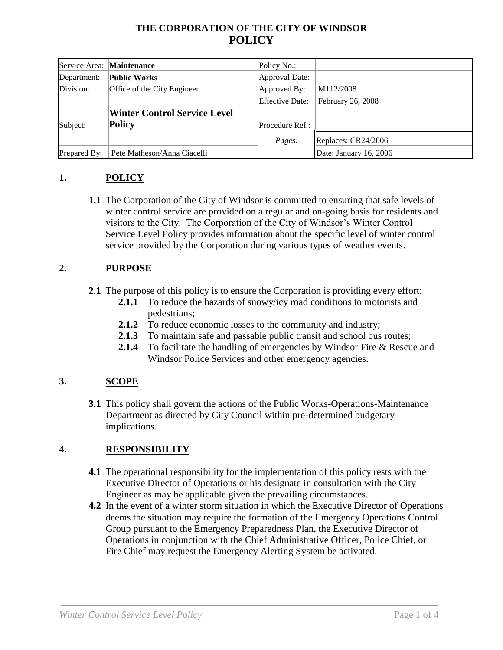# **THE CORPORATION OF THE CITY OF WINDSOR POLICY**

|              | Service Area: Maintenance           | Policy No.:            |                        |
|--------------|-------------------------------------|------------------------|------------------------|
| Department:  | <b>Public Works</b>                 | Approval Date:         |                        |
| Division:    | Office of the City Engineer         | Approved By:           | M112/2008              |
|              |                                     | <b>Effective Date:</b> | February 26, 2008      |
|              | <b>Winter Control Service Level</b> |                        |                        |
| Subject:     | Policy                              | Procedure Ref.:        |                        |
|              |                                     | Pages:                 | Replaces: CR24/2006    |
| Prepared By: | Pete Matheson/Anna Ciacelli         |                        | Date: January 16, 2006 |

## **1. POLICY**

**1.1** The Corporation of the City of Windsor is committed to ensuring that safe levels of winter control service are provided on a regular and on-going basis for residents and visitors to the City. The Corporation of the City of Windsor's Winter Control Service Level Policy provides information about the specific level of winter control service provided by the Corporation during various types of weather events.

#### **2. PURPOSE**

- **2.1** The purpose of this policy is to ensure the Corporation is providing every effort:
	- **2.1.1** To reduce the hazards of snowy/icy road conditions to motorists and pedestrians;
	- **2.1.2** To reduce economic losses to the community and industry;
	- **2.1.3** To maintain safe and passable public transit and school bus routes;
	- **2.1.4** To facilitate the handling of emergencies by Windsor Fire & Rescue and Windsor Police Services and other emergency agencies.

## **3. SCOPE**

**3.1** This policy shall govern the actions of the Public Works-Operations-Maintenance Department as directed by City Council within pre-determined budgetary implications.

## **4. RESPONSIBILITY**

- **4.1** The operational responsibility for the implementation of this policy rests with the Executive Director of Operations or his designate in consultation with the City Engineer as may be applicable given the prevailing circumstances.
- **4.2** In the event of a winter storm situation in which the Executive Director of Operations deems the situation may require the formation of the Emergency Operations Control Group pursuant to the Emergency Preparedness Plan, the Executive Director of Operations in conjunction with the Chief Administrative Officer, Police Chief, or Fire Chief may request the Emergency Alerting System be activated.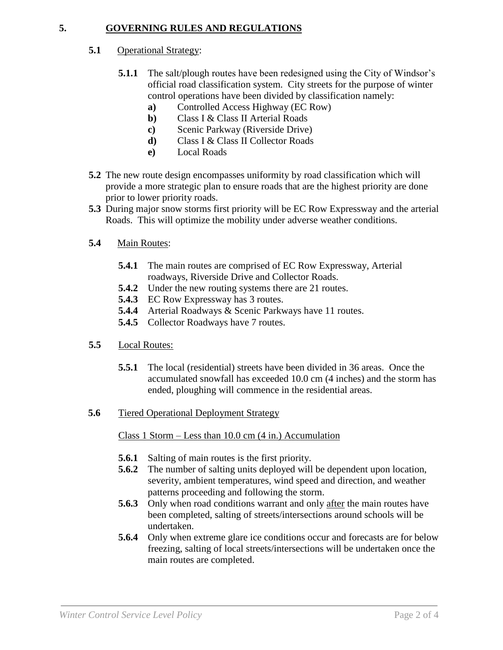#### **5. GOVERNING RULES AND REGULATIONS**

#### **5.1** Operational Strategy:

- **5.1.1** The salt/plough routes have been redesigned using the City of Windsor's official road classification system. City streets for the purpose of winter control operations have been divided by classification namely:
	- **a)** Controlled Access Highway (EC Row)
	- **b)** Class I & Class II Arterial Roads
	- **c)** Scenic Parkway (Riverside Drive)
	- **d)** Class I & Class II Collector Roads
	- **e)** Local Roads
- **5.2** The new route design encompasses uniformity by road classification which will provide a more strategic plan to ensure roads that are the highest priority are done prior to lower priority roads.
- **5.3** During major snow storms first priority will be EC Row Expressway and the arterial Roads. This will optimize the mobility under adverse weather conditions.
- **5.4** Main Routes:
	- **5.4.1** The main routes are comprised of EC Row Expressway, Arterial roadways, Riverside Drive and Collector Roads.
	- **5.4.2** Under the new routing systems there are 21 routes.
	- **5.4.3** EC Row Expressway has 3 routes.
	- **5.4.4** Arterial Roadways & Scenic Parkways have 11 routes.
	- **5.4.5** Collector Roadways have 7 routes.
- **5.5** Local Routes:
	- **5.5.1** The local (residential) streets have been divided in 36 areas. Once the accumulated snowfall has exceeded 10.0 cm (4 inches) and the storm has ended, ploughing will commence in the residential areas.
- **5.6** Tiered Operational Deployment Strategy

Class 1 Storm – Less than 10.0 cm (4 in.) Accumulation

- **5.6.1** Salting of main routes is the first priority.
- **5.6.2** The number of salting units deployed will be dependent upon location, severity, ambient temperatures, wind speed and direction, and weather patterns proceeding and following the storm.
- **5.6.3** Only when road conditions warrant and only after the main routes have been completed, salting of streets/intersections around schools will be undertaken.
- **5.6.4** Only when extreme glare ice conditions occur and forecasts are for below freezing, salting of local streets/intersections will be undertaken once the main routes are completed.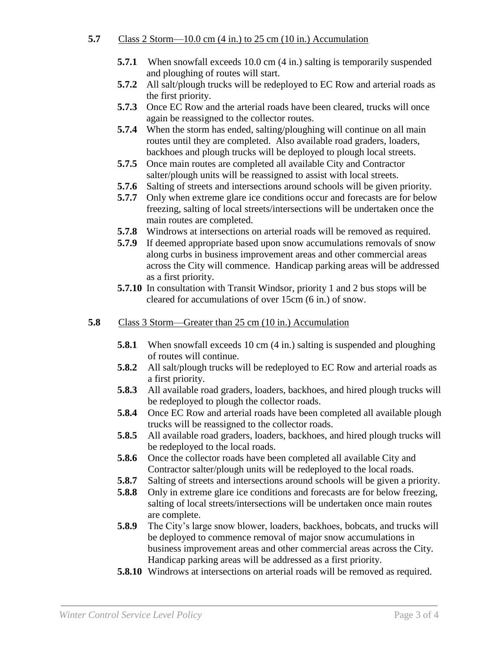### **5.7** Class 2 Storm—10.0 cm (4 in.) to 25 cm (10 in.) Accumulation

- **5.7.1** When snowfall exceeds 10.0 cm (4 in.) salting is temporarily suspended and ploughing of routes will start.
- **5.7.2** All salt/plough trucks will be redeployed to EC Row and arterial roads as the first priority.
- **5.7.3** Once EC Row and the arterial roads have been cleared, trucks will once again be reassigned to the collector routes.
- **5.7.4** When the storm has ended, salting/ploughing will continue on all main routes until they are completed. Also available road graders, loaders, backhoes and plough trucks will be deployed to plough local streets.
- **5.7.5** Once main routes are completed all available City and Contractor salter/plough units will be reassigned to assist with local streets.
- **5.7.6** Salting of streets and intersections around schools will be given priority.
- **5.7.7** Only when extreme glare ice conditions occur and forecasts are for below freezing, salting of local streets/intersections will be undertaken once the main routes are completed.
- **5.7.8** Windrows at intersections on arterial roads will be removed as required.
- **5.7.9** If deemed appropriate based upon snow accumulations removals of snow along curbs in business improvement areas and other commercial areas across the City will commence. Handicap parking areas will be addressed as a first priority.
- **5.7.10** In consultation with Transit Windsor, priority 1 and 2 bus stops will be cleared for accumulations of over 15cm (6 in.) of snow.
- **5.8** Class 3 Storm—Greater than 25 cm (10 in.) Accumulation
	- **5.8.1** When snowfall exceeds 10 cm (4 in.) salting is suspended and ploughing of routes will continue.
	- **5.8.2** All salt/plough trucks will be redeployed to EC Row and arterial roads as a first priority.
	- **5.8.3** All available road graders, loaders, backhoes, and hired plough trucks will be redeployed to plough the collector roads.
	- **5.8.4** Once EC Row and arterial roads have been completed all available plough trucks will be reassigned to the collector roads.
	- **5.8.5** All available road graders, loaders, backhoes, and hired plough trucks will be redeployed to the local roads.
	- **5.8.6** Once the collector roads have been completed all available City and Contractor salter/plough units will be redeployed to the local roads.
	- **5.8.7** Salting of streets and intersections around schools will be given a priority.
	- **5.8.8** Only in extreme glare ice conditions and forecasts are for below freezing, salting of local streets/intersections will be undertaken once main routes are complete.
	- **5.8.9** The City's large snow blower, loaders, backhoes, bobcats, and trucks will be deployed to commence removal of major snow accumulations in business improvement areas and other commercial areas across the City. Handicap parking areas will be addressed as a first priority.
	- **5.8.10** Windrows at intersections on arterial roads will be removed as required.